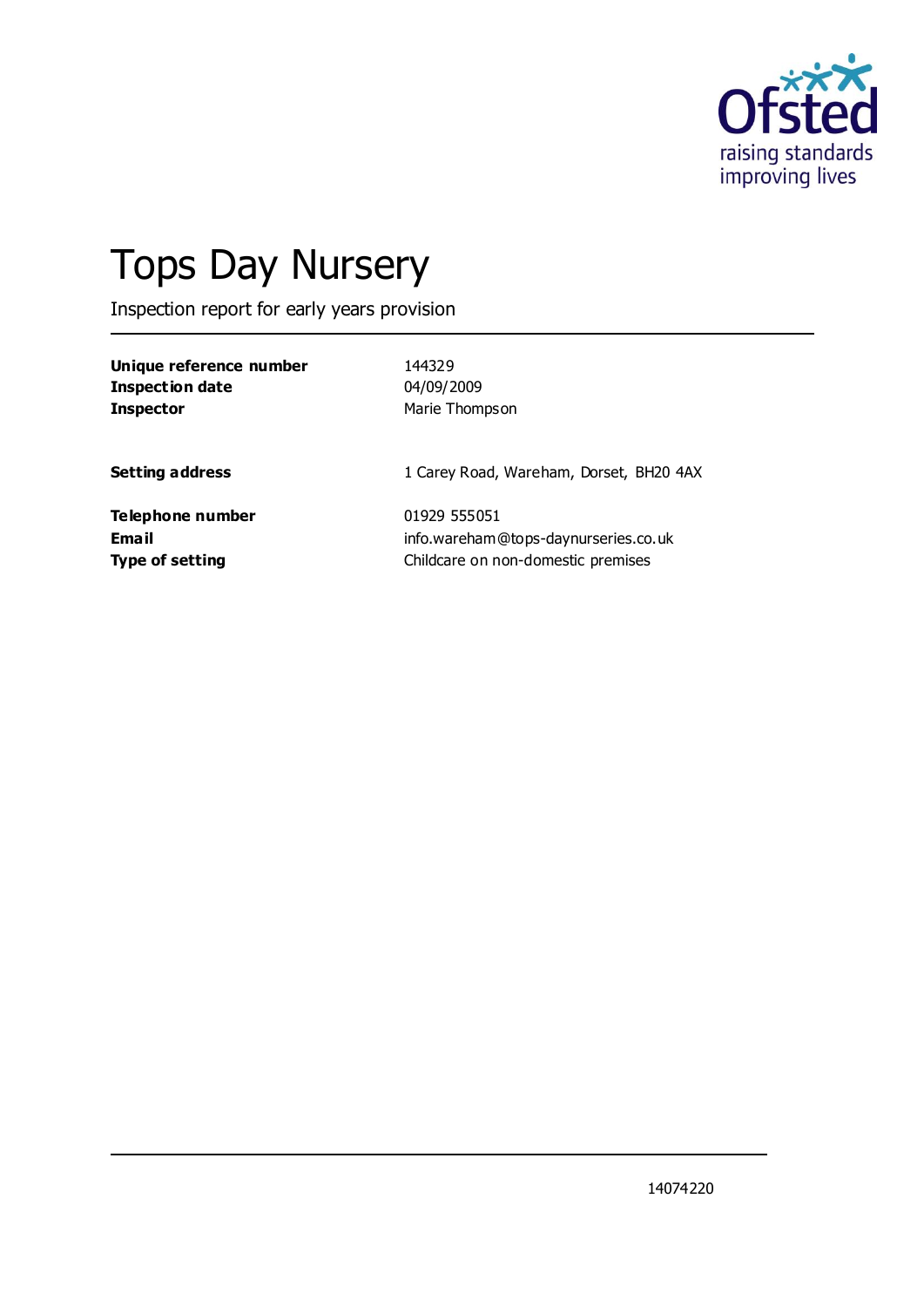

# Tops Day Nursery

Inspection report for early years provision

| Unique reference number | 144329                                  |
|-------------------------|-----------------------------------------|
| Inspection date         | 04/09/2009                              |
| <b>Inspector</b>        | Marie Thompson                          |
| <b>Setting address</b>  | 1 Carey Road, Wareham, Dorset, BH20 4AX |
| Telephone number        | 01929 555051                            |
| Email                   | info.wareham@tops-daynurseries.co.uk    |
| <b>Type of setting</b>  | Childcare on non-domestic premises      |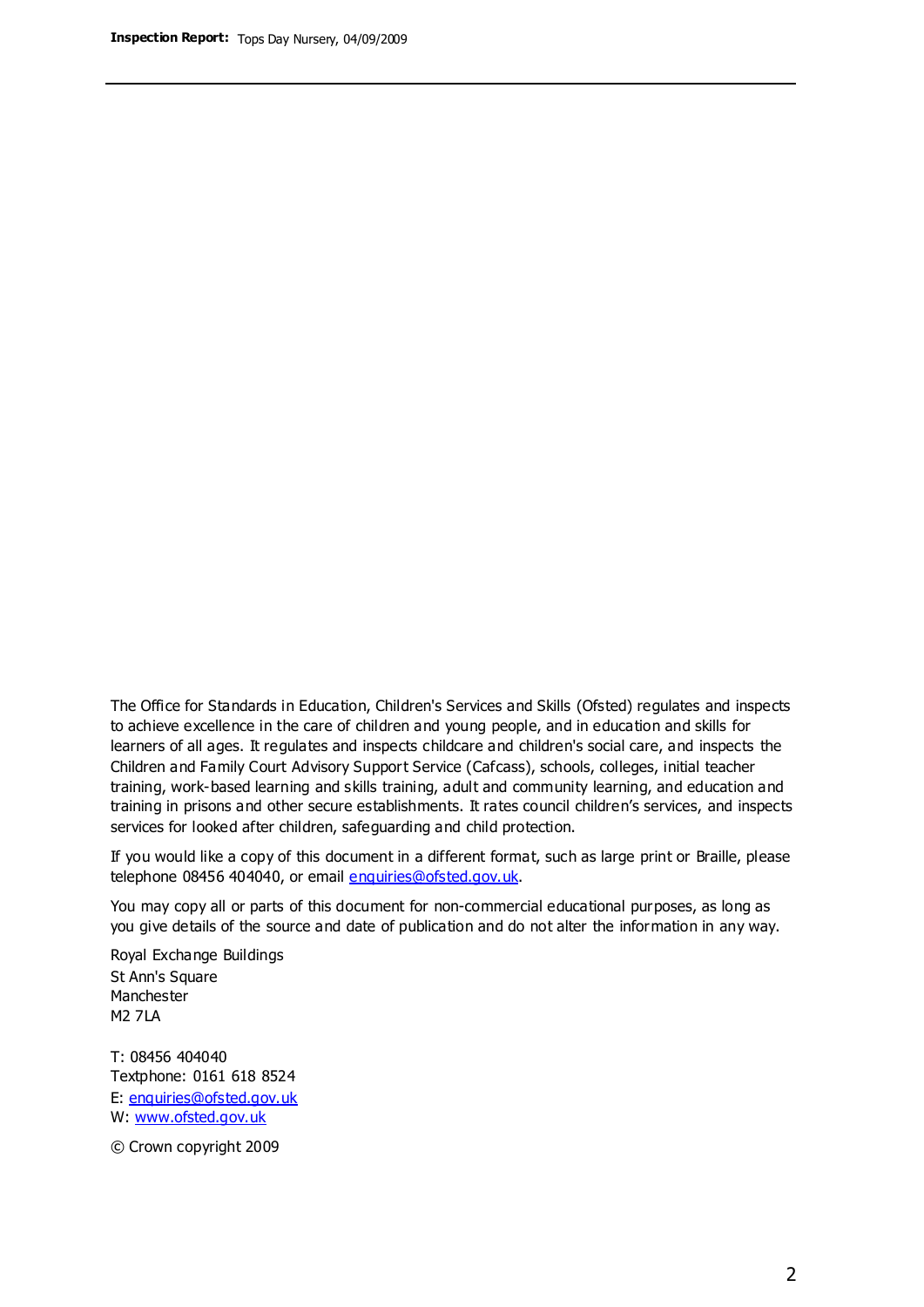The Office for Standards in Education, Children's Services and Skills (Ofsted) regulates and inspects to achieve excellence in the care of children and young people, and in education and skills for learners of all ages. It regulates and inspects childcare and children's social care, and inspects the Children and Family Court Advisory Support Service (Cafcass), schools, colleges, initial teacher training, work-based learning and skills training, adult and community learning, and education and training in prisons and other secure establishments. It rates council children's services, and inspects services for looked after children, safeguarding and child protection.

If you would like a copy of this document in a different format, such as large print or Braille, please telephone 08456 404040, or email enquiries@ofsted.gov.uk.

You may copy all or parts of this document for non-commercial educational purposes, as long as you give details of the source and date of publication and do not alter the information in any way.

Royal Exchange Buildings St Ann's Square Manchester M2 7LA

T: 08456 404040 Textphone: 0161 618 8524 E: enquiries@ofsted.gov.uk W: [www.ofsted.gov.uk](http://www.ofsted.gov.uk/)

© Crown copyright 2009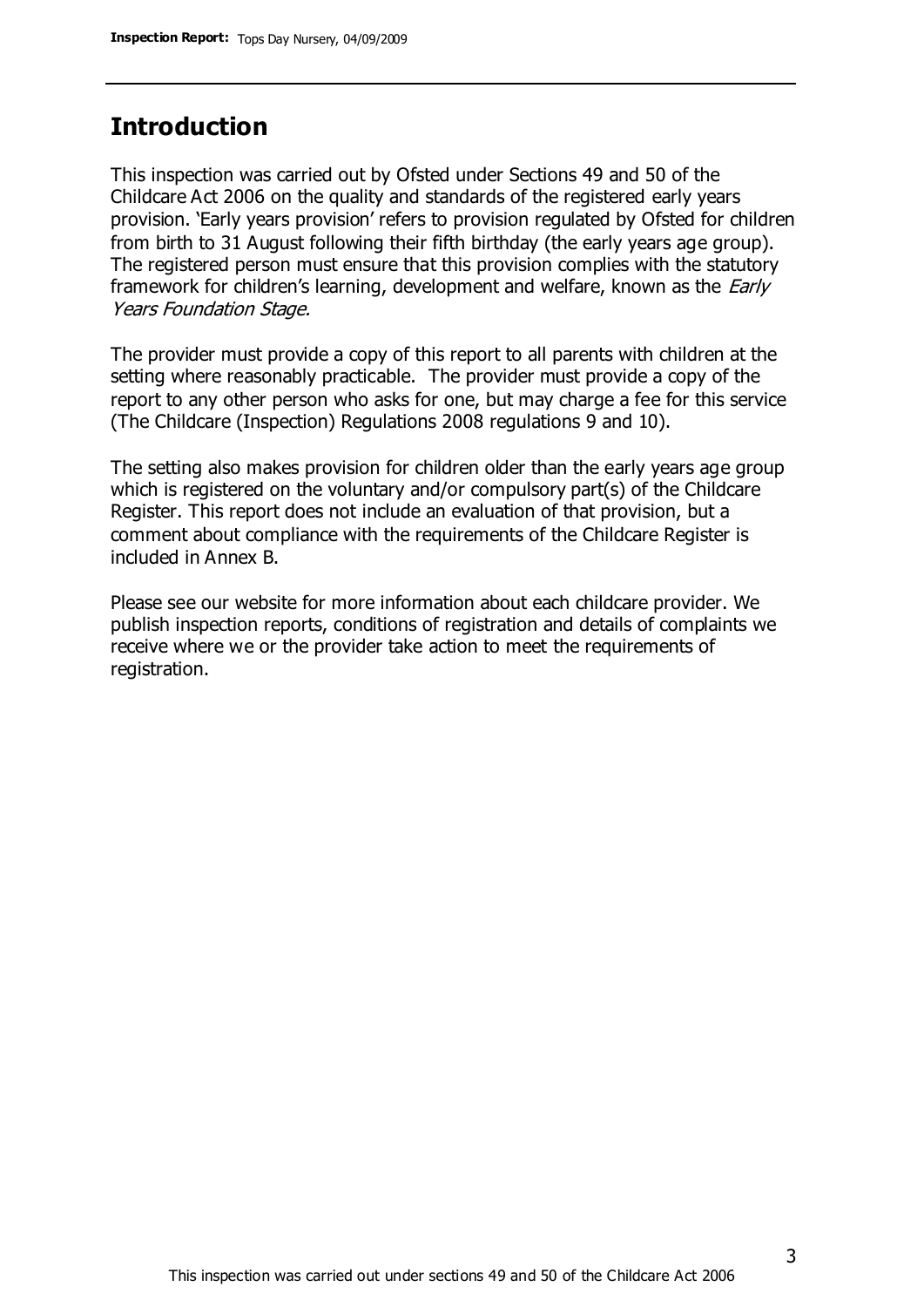## **Introduction**

This inspection was carried out by Ofsted under Sections 49 and 50 of the Childcare Act 2006 on the quality and standards of the registered early years provision. 'Early years provision' refers to provision regulated by Ofsted for children from birth to 31 August following their fifth birthday (the early years age group). The registered person must ensure that this provision complies with the statutory framework for children's learning, development and welfare, known as the *Early* Years Foundation Stage.

The provider must provide a copy of this report to all parents with children at the setting where reasonably practicable. The provider must provide a copy of the report to any other person who asks for one, but may charge a fee for this service (The Childcare (Inspection) Regulations 2008 regulations 9 and 10).

The setting also makes provision for children older than the early years age group which is registered on the voluntary and/or compulsory part(s) of the Childcare Register. This report does not include an evaluation of that provision, but a comment about compliance with the requirements of the Childcare Register is included in Annex B.

Please see our website for more information about each childcare provider. We publish inspection reports, conditions of registration and details of complaints we receive where we or the provider take action to meet the requirements of registration.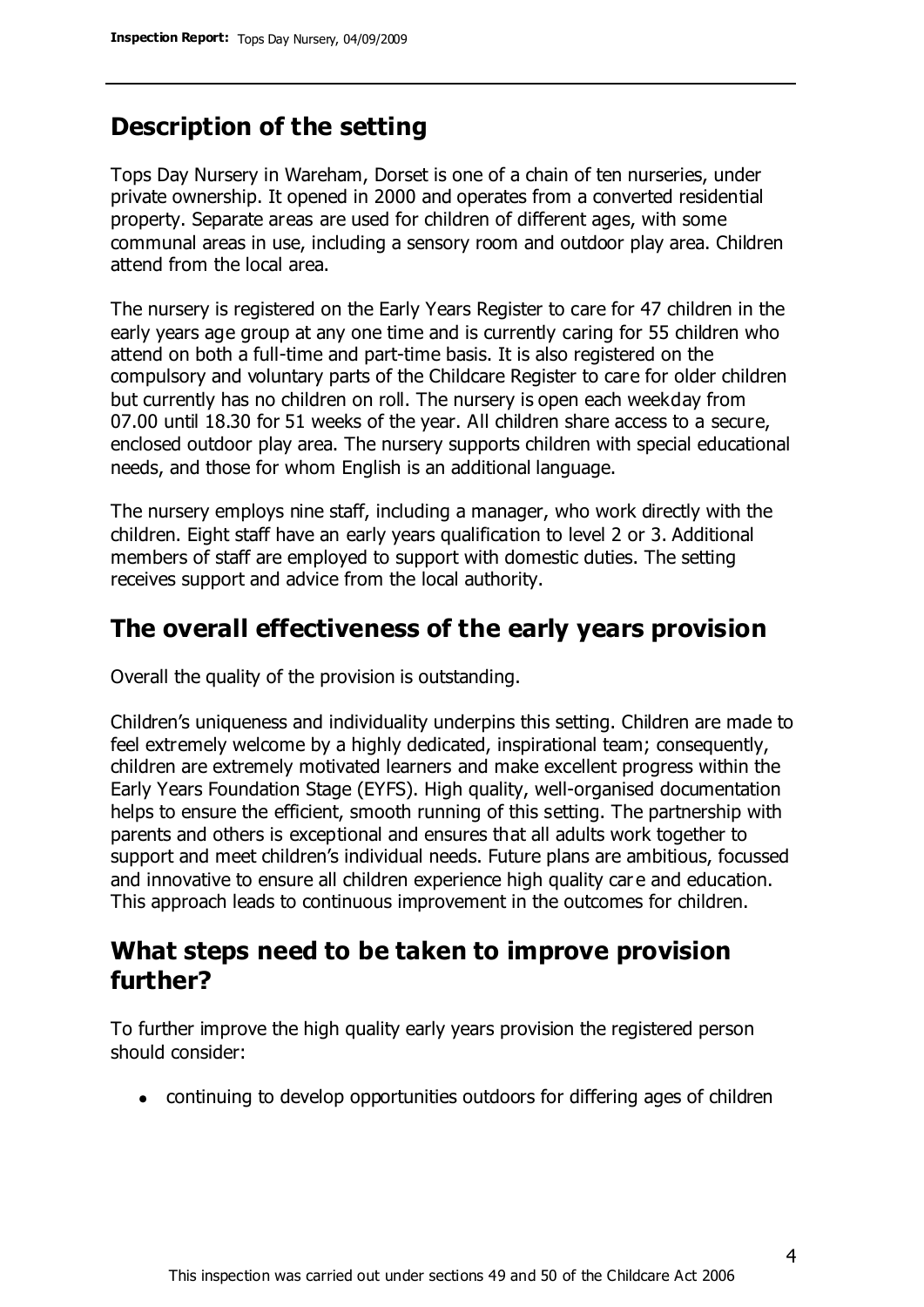# **Description of the setting**

Tops Day Nursery in Wareham, Dorset is one of a chain of ten nurseries, under private ownership. It opened in 2000 and operates from a converted residential property. Separate areas are used for children of different ages, with some communal areas in use, including a sensory room and outdoor play area. Children attend from the local area.

The nursery is registered on the Early Years Register to care for 47 children in the early years age group at any one time and is currently caring for 55 children who attend on both a full-time and part-time basis. It is also registered on the compulsory and voluntary parts of the Childcare Register to care for older children but currently has no children on roll. The nursery is open each weekday from 07.00 until 18.30 for 51 weeks of the year. All children share access to a secure, enclosed outdoor play area. The nursery supports children with special educational needs, and those for whom English is an additional language.

The nursery employs nine staff, including a manager, who work directly with the children. Eight staff have an early years qualification to level 2 or 3. Additional members of staff are employed to support with domestic duties. The setting receives support and advice from the local authority.

## **The overall effectiveness of the early years provision**

Overall the quality of the provision is outstanding.

Children's uniqueness and individuality underpins this setting. Children are made to feel extremely welcome by a highly dedicated, inspirational team; consequently, children are extremely motivated learners and make excellent progress within the Early Years Foundation Stage (EYFS). High quality, well-organised documentation helps to ensure the efficient, smooth running of this setting. The partnership with parents and others is exceptional and ensures that all adults work together to support and meet children's individual needs. Future plans are ambitious, focussed and innovative to ensure all children experience high quality car e and education. This approach leads to continuous improvement in the outcomes for children.

## **What steps need to be taken to improve provision further?**

To further improve the high quality early years provision the registered person should consider:

continuing to develop opportunities outdoors for differing ages of children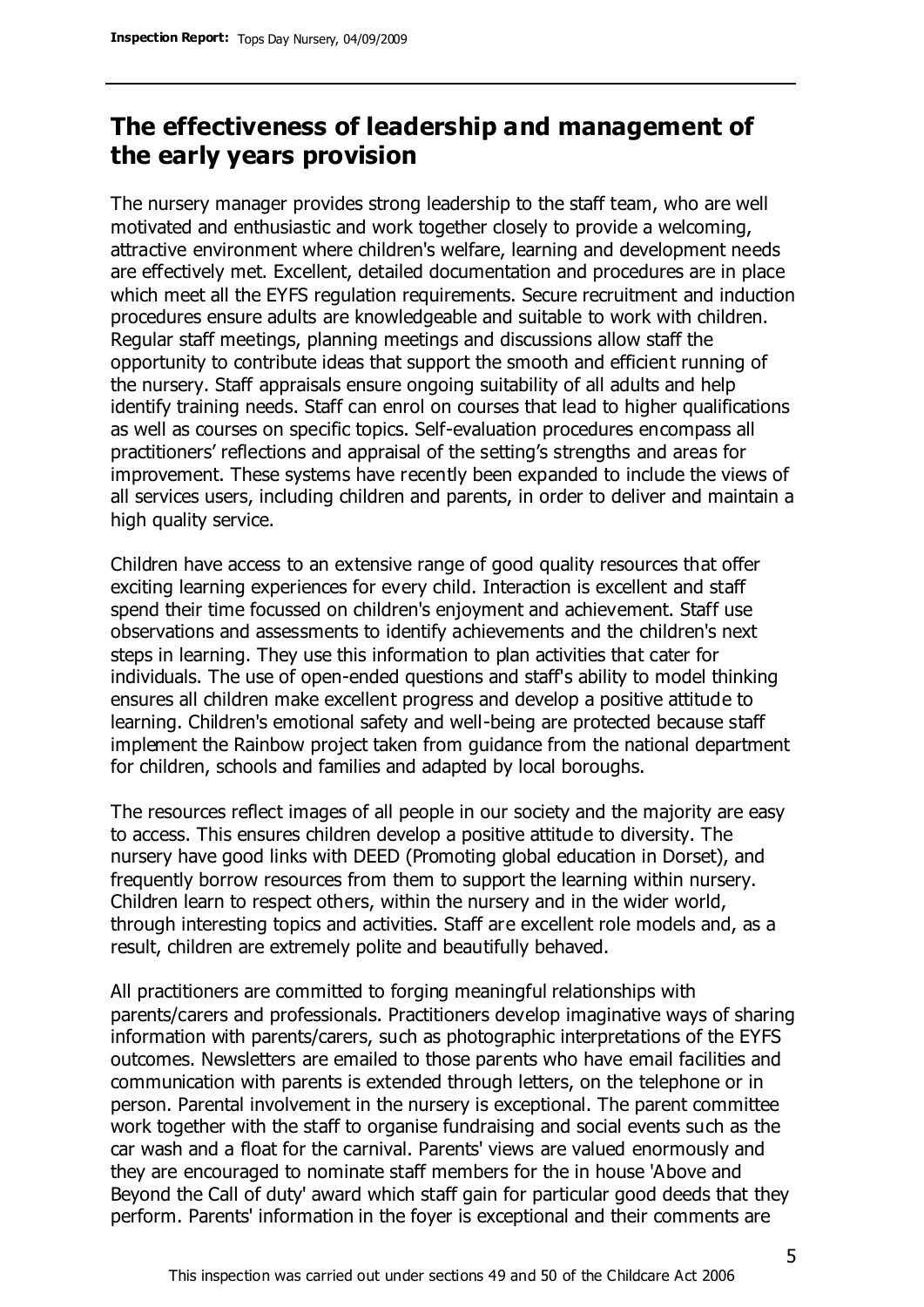# **The effectiveness of leadership and management of the early years provision**

The nursery manager provides strong leadership to the staff team, who are well motivated and enthusiastic and work together closely to provide a welcoming, attractive environment where children's welfare, learning and development needs are effectively met. Excellent, detailed documentation and procedures are in place which meet all the EYFS regulation requirements. Secure recruitment and induction procedures ensure adults are knowledgeable and suitable to work with children. Regular staff meetings, planning meetings and discussions allow staff the opportunity to contribute ideas that support the smooth and efficient running of the nursery. Staff appraisals ensure ongoing suitability of all adults and help identify training needs. Staff can enrol on courses that lead to higher qualifications as well as courses on specific topics. Self-evaluation procedures encompass all practitioners' reflections and appraisal of the setting's strengths and areas for improvement. These systems have recently been expanded to include the views of all services users, including children and parents, in order to deliver and maintain a high quality service.

Children have access to an extensive range of good quality resources that offer exciting learning experiences for every child. Interaction is excellent and staff spend their time focussed on children's enjoyment and achievement. Staff use observations and assessments to identify achievements and the children's next steps in learning. They use this information to plan activities that cater for individuals. The use of open-ended questions and staff's ability to model thinking ensures all children make excellent progress and develop a positive attitude to learning. Children's emotional safety and well-being are protected because staff implement the Rainbow project taken from guidance from the national department for children, schools and families and adapted by local boroughs.

The resources reflect images of all people in our society and the majority are easy to access. This ensures children develop a positive attitude to diversity. The nursery have good links with DEED (Promoting global education in Dorset), and frequently borrow resources from them to support the learning within nursery. Children learn to respect others, within the nursery and in the wider world, through interesting topics and activities. Staff are excellent role models and, as a result, children are extremely polite and beautifully behaved.

All practitioners are committed to forging meaningful relationships with parents/carers and professionals. Practitioners develop imaginative ways of sharing information with parents/carers, such as photographic interpretations of the EYFS outcomes. Newsletters are emailed to those parents who have email facilities and communication with parents is extended through letters, on the telephone or in person. Parental involvement in the nursery is exceptional. The parent committee work together with the staff to organise fundraising and social events such as the car wash and a float for the carnival. Parents' views are valued enormously and they are encouraged to nominate staff members for the in house 'Above and Beyond the Call of duty' award which staff gain for particular good deeds that they perform. Parents' information in the foyer is exceptional and their comments are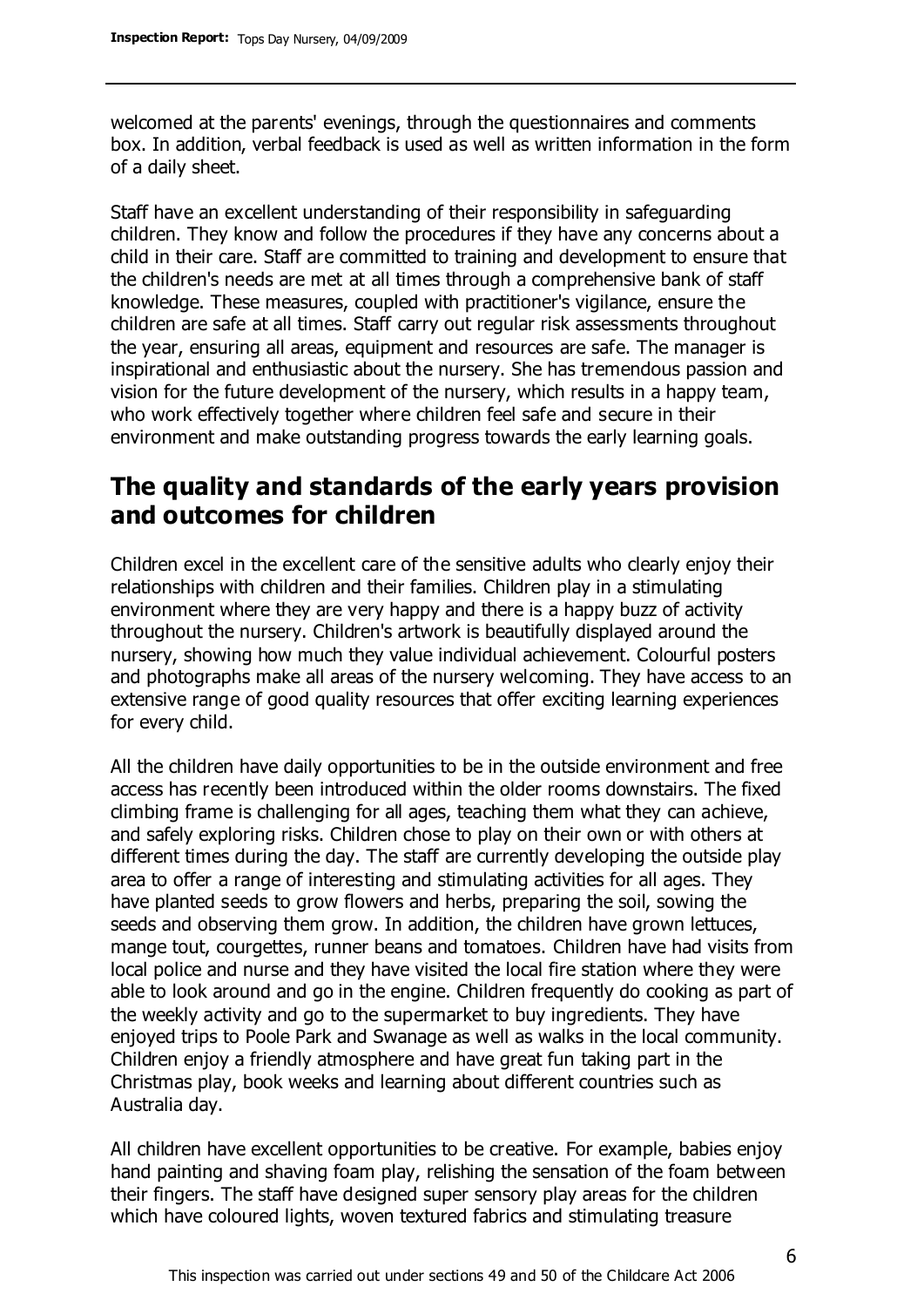welcomed at the parents' evenings, through the questionnaires and comments box. In addition, verbal feedback is used as well as written information in the form of a daily sheet.

Staff have an excellent understanding of their responsibility in safeguarding children. They know and follow the procedures if they have any concerns about a child in their care. Staff are committed to training and development to ensure that the children's needs are met at all times through a comprehensive bank of staff knowledge. These measures, coupled with practitioner's vigilance, ensure the children are safe at all times. Staff carry out regular risk assessments throughout the year, ensuring all areas, equipment and resources are safe. The manager is inspirational and enthusiastic about the nursery. She has tremendous passion and vision for the future development of the nursery, which results in a happy team, who work effectively together where children feel safe and secure in their environment and make outstanding progress towards the early learning goals.

# **The quality and standards of the early years provision and outcomes for children**

Children excel in the excellent care of the sensitive adults who clearly enjoy their relationships with children and their families. Children play in a stimulating environment where they are very happy and there is a happy buzz of activity throughout the nursery. Children's artwork is beautifully displayed around the nursery, showing how much they value individual achievement. Colourful posters and photographs make all areas of the nursery welcoming. They have access to an extensive range of good quality resources that offer exciting learning experiences for every child.

All the children have daily opportunities to be in the outside environment and free access has recently been introduced within the older rooms downstairs. The fixed climbing frame is challenging for all ages, teaching them what they can achieve, and safely exploring risks. Children chose to play on their own or with others at different times during the day. The staff are currently developing the outside play area to offer a range of interesting and stimulating activities for all ages. They have planted seeds to grow flowers and herbs, preparing the soil, sowing the seeds and observing them grow. In addition, the children have grown lettuces, mange tout, courgettes, runner beans and tomatoes. Children have had visits from local police and nurse and they have visited the local fire station where they were able to look around and go in the engine. Children frequently do cooking as part of the weekly activity and go to the supermarket to buy ingredients. They have enjoyed trips to Poole Park and Swanage as well as walks in the local community. Children enjoy a friendly atmosphere and have great fun taking part in the Christmas play, book weeks and learning about different countries such as Australia day.

All children have excellent opportunities to be creative. For example, babies enjoy hand painting and shaving foam play, relishing the sensation of the foam between their fingers. The staff have designed super sensory play areas for the children which have coloured lights, woven textured fabrics and stimulating treasure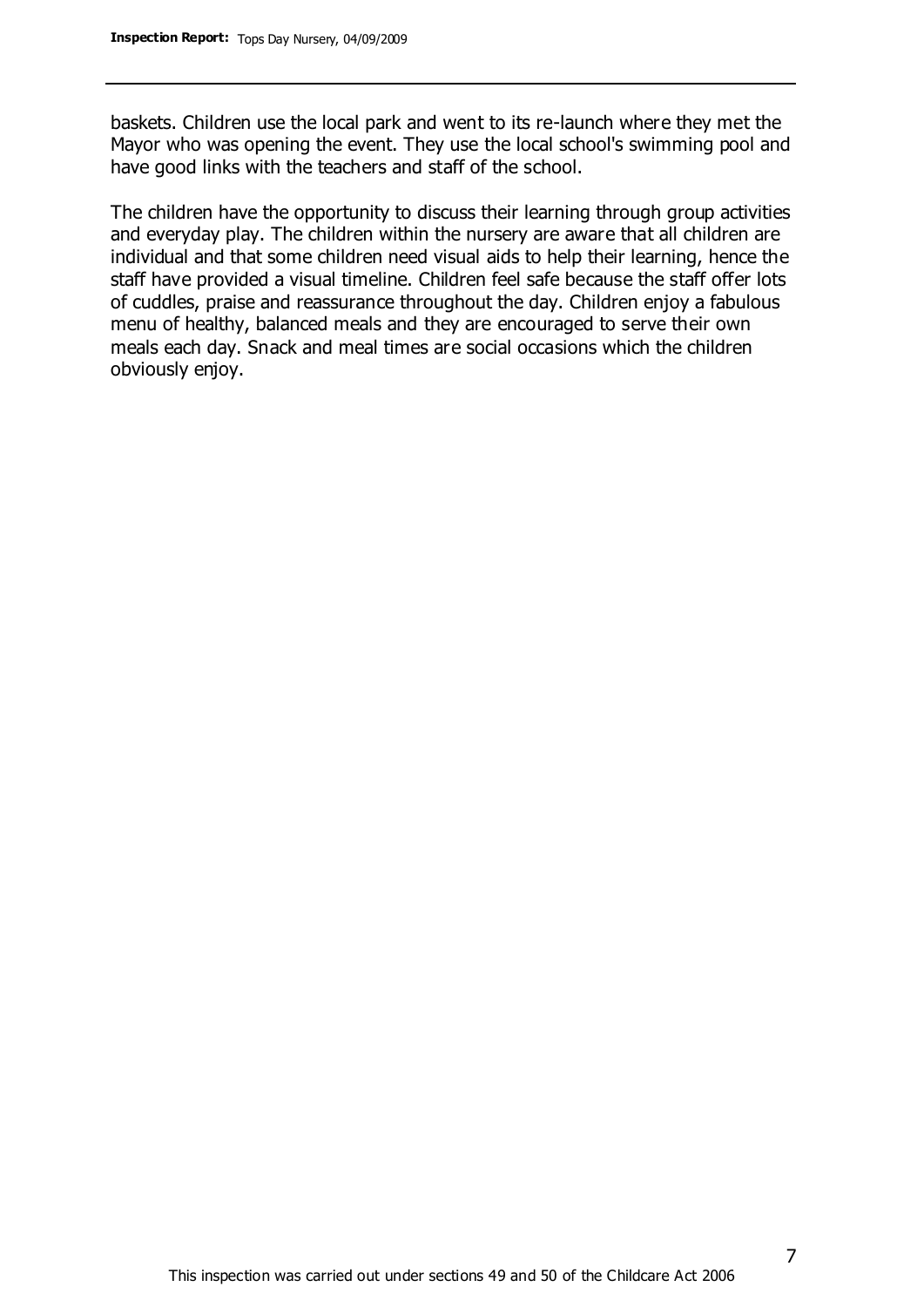baskets. Children use the local park and went to its re-launch where they met the Mayor who was opening the event. They use the local school's swimming pool and have good links with the teachers and staff of the school.

The children have the opportunity to discuss their learning through group activities and everyday play. The children within the nursery are aware that all children are individual and that some children need visual aids to help their learning, hence the staff have provided a visual timeline. Children feel safe because the staff offer lots of cuddles, praise and reassurance throughout the day. Children enjoy a fabulous menu of healthy, balanced meals and they are encouraged to serve their own meals each day. Snack and meal times are social occasions which the children obviously enjoy.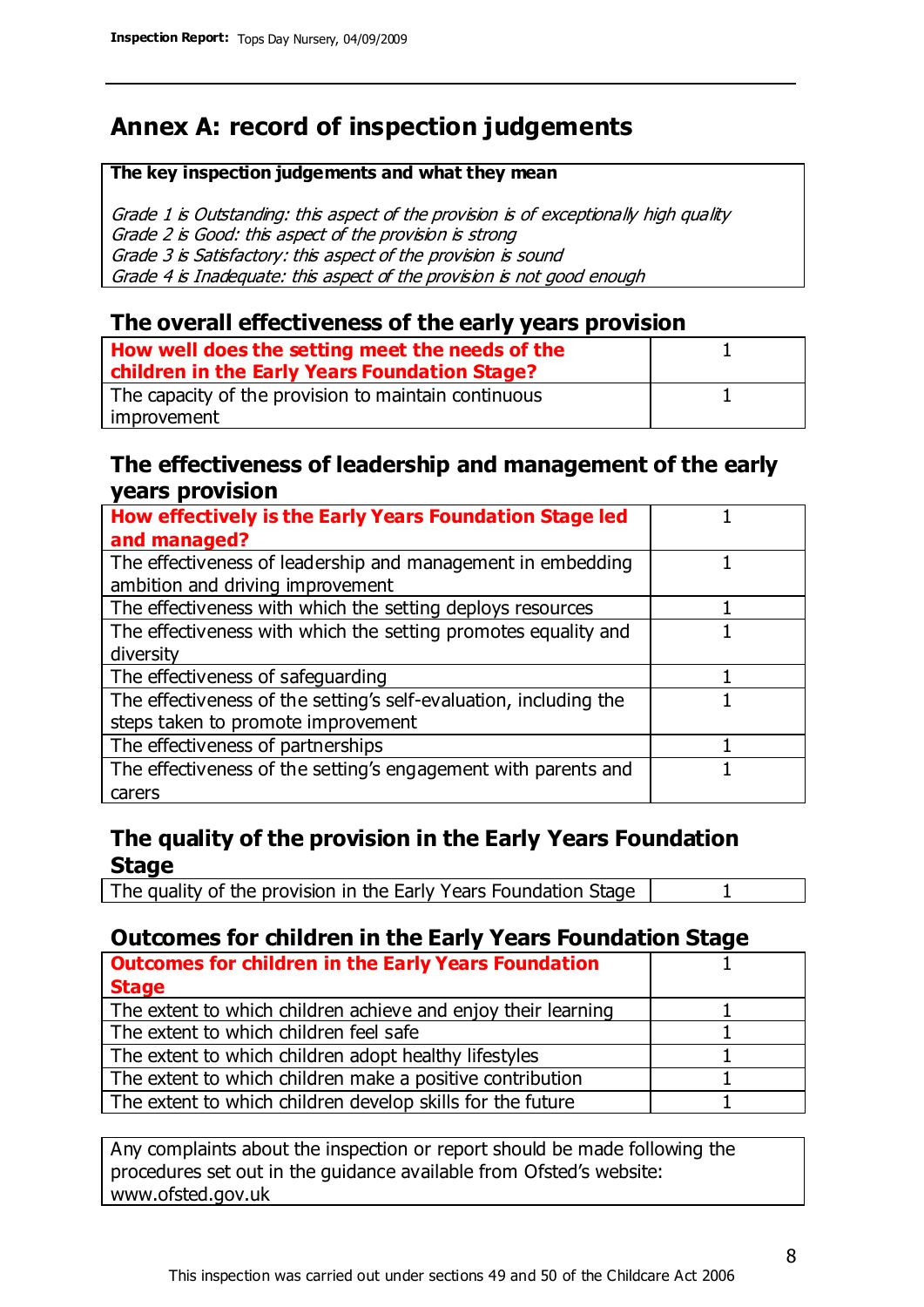# **Annex A: record of inspection judgements**

#### **The key inspection judgements and what they mean**

Grade 1 is Outstanding: this aspect of the provision is of exceptionally high quality Grade 2 is Good: this aspect of the provision is strong Grade 3 is Satisfactory: this aspect of the provision is sound Grade 4 is Inadequate: this aspect of the provision is not good enough

### **The overall effectiveness of the early years provision**

| How well does the setting meet the needs of the<br>children in the Early Years Foundation Stage? |  |
|--------------------------------------------------------------------------------------------------|--|
| The capacity of the provision to maintain continuous                                             |  |
| improvement                                                                                      |  |

### **The effectiveness of leadership and management of the early years provision**

| How effectively is the Early Years Foundation Stage led                                         |  |
|-------------------------------------------------------------------------------------------------|--|
| and managed?                                                                                    |  |
| The effectiveness of leadership and management in embedding<br>ambition and driving improvement |  |
|                                                                                                 |  |
| The effectiveness with which the setting deploys resources                                      |  |
| The effectiveness with which the setting promotes equality and                                  |  |
| diversity                                                                                       |  |
| The effectiveness of safeguarding                                                               |  |
| The effectiveness of the setting's self-evaluation, including the                               |  |
| steps taken to promote improvement                                                              |  |
| The effectiveness of partnerships                                                               |  |
| The effectiveness of the setting's engagement with parents and                                  |  |
| carers                                                                                          |  |

## **The quality of the provision in the Early Years Foundation Stage**

The quality of the provision in the Early Years Foundation Stage | 1

## **Outcomes for children in the Early Years Foundation Stage**

| <b>Outcomes for children in the Early Years Foundation</b>    |  |
|---------------------------------------------------------------|--|
| <b>Stage</b>                                                  |  |
| The extent to which children achieve and enjoy their learning |  |
| The extent to which children feel safe                        |  |
| The extent to which children adopt healthy lifestyles         |  |
| The extent to which children make a positive contribution     |  |
| The extent to which children develop skills for the future    |  |
|                                                               |  |

Any complaints about the inspection or report should be made following the procedures set out in the guidance available from Ofsted's website: www.ofsted.gov.uk